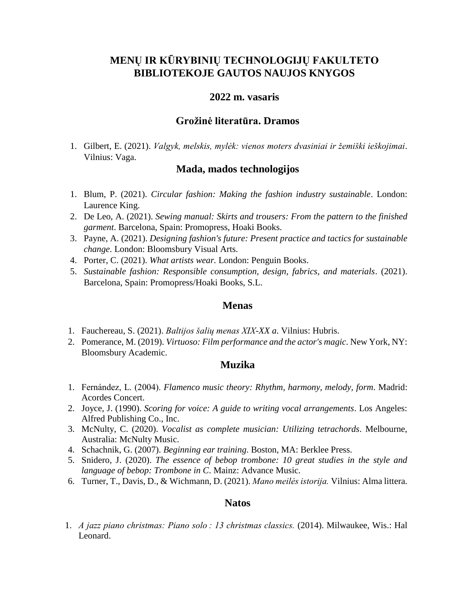# **MENŲ IR KŪRYBINIŲ TECHNOLOGIJŲ FAKULTETO BIBLIOTEKOJE GAUTOS NAUJOS KNYGOS**

## **2022 m. vasaris**

## **Grožinė literatūra. Dramos**

1. Gilbert, E. (2021). *Valgyk, melskis, mylėk: vienos moters dvasiniai ir žemiški ieškojimai*. Vilnius: Vaga.

#### **Mada, mados technologijos**

- 1. Blum, P. (2021). *Circular fashion: Making the fashion industry sustainable*. London: Laurence King.
- 2. De Leo, A. (2021). *Sewing manual: Skirts and trousers: From the pattern to the finished garment*. Barcelona, Spain: Promopress, Hoaki Books.
- 3. Payne, A. (2021). *Designing fashion's future: Present practice and tactics for sustainable change*. London: Bloomsbury Visual Arts.
- 4. Porter, C. (2021). *What artists wear.* London: Penguin Books.
- 5. *Sustainable fashion: Responsible consumption, design, fabrics, and materials*. (2021). Barcelona, Spain: Promopress/Hoaki Books, S.L.

#### **Menas**

- 1. Fauchereau, S. (2021). *Baltijos šalių menas XIX-XX a*. Vilnius: Hubris.
- 2. Pomerance, M. (2019). *Virtuoso: Film performance and the actor's magic*. New York, NY: Bloomsbury Academic.

## **Muzika**

- 1. Fernández, L. (2004). *Flamenco music theory: Rhythm, harmony, melody, form*. Madrid: Acordes Concert.
- 2. Joyce, J. (1990). *Scoring for voice: A guide to writing vocal arrangements*. Los Angeles: Alfred Publishing Co., Inc.
- 3. McNulty, C. (2020). *Vocalist as complete musician: Utilizing tetrachords*. Melbourne, Australia: McNulty Music.
- 4. Schachnik, G. (2007). *Beginning ear training*. Boston, MA: Berklee Press.
- 5. Snidero, J. (2020). *The essence of bebop trombone: 10 great studies in the style and language of bebop: Trombone in C*. Mainz: Advance Music.
- 6. Turner, T., Davis, D., & Wichmann, D. (2021). *Mano meilės istorija.* Vilnius: Alma littera.

#### **Natos**

1. *A jazz piano christmas: Piano solo : 13 christmas classics.* (2014). Milwaukee, Wis.: Hal Leonard.